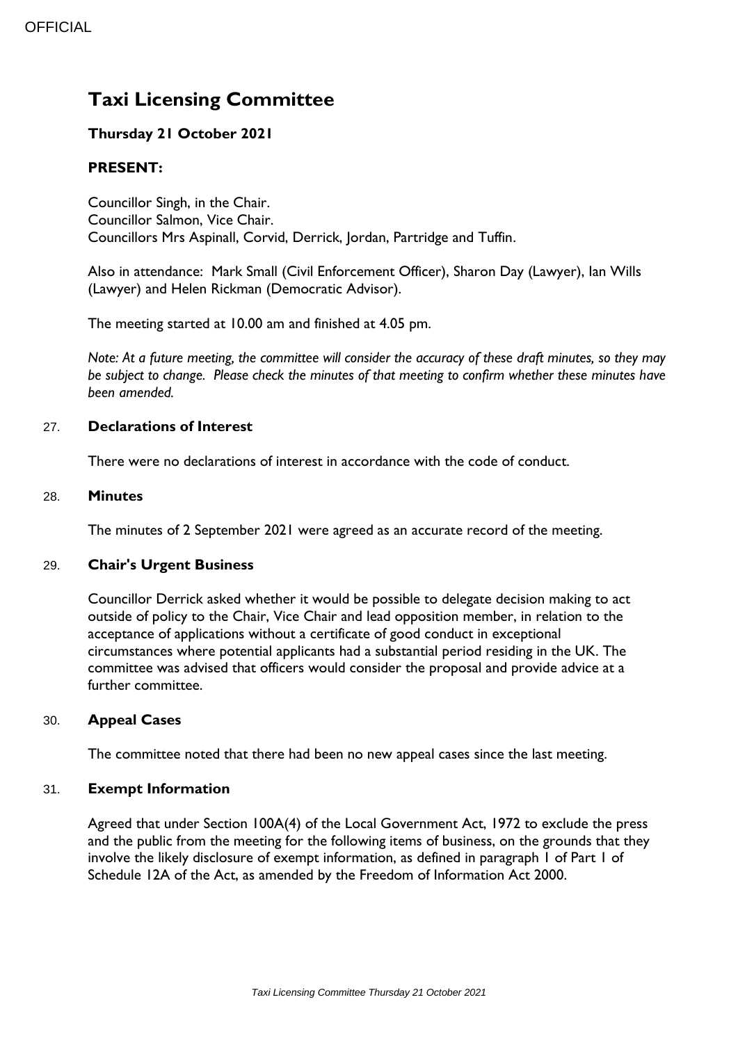# **Taxi Licensing Committee**

# **Thursday 21 October 2021**

# **PRESENT:**

Councillor Singh, in the Chair. Councillor Salmon, Vice Chair. Councillors Mrs Aspinall, Corvid, Derrick, Jordan, Partridge and Tuffin.

Also in attendance: Mark Small (Civil Enforcement Officer), Sharon Day (Lawyer), Ian Wills (Lawyer) and Helen Rickman (Democratic Advisor).

The meeting started at 10.00 am and finished at 4.05 pm.

*Note: At a future meeting, the committee will consider the accuracy of these draft minutes, so they may be subject to change. Please check the minutes of that meeting to confirm whether these minutes have been amended.*

### 27. **Declarations of Interest**

There were no declarations of interest in accordance with the code of conduct.

#### 28. **Minutes**

The minutes of 2 September 2021 were agreed as an accurate record of the meeting.

#### 29. **Chair's Urgent Business**

Councillor Derrick asked whether it would be possible to delegate decision making to act outside of policy to the Chair, Vice Chair and lead opposition member, in relation to the acceptance of applications without a certificate of good conduct in exceptional circumstances where potential applicants had a substantial period residing in the UK. The committee was advised that officers would consider the proposal and provide advice at a further committee.

## 30. **Appeal Cases**

The committee noted that there had been no new appeal cases since the last meeting.

#### 31. **Exempt Information**

Agreed that under Section 100A(4) of the Local Government Act, 1972 to exclude the press and the public from the meeting for the following items of business, on the grounds that they involve the likely disclosure of exempt information, as defined in paragraph 1 of Part 1 of Schedule 12A of the Act, as amended by the Freedom of Information Act 2000.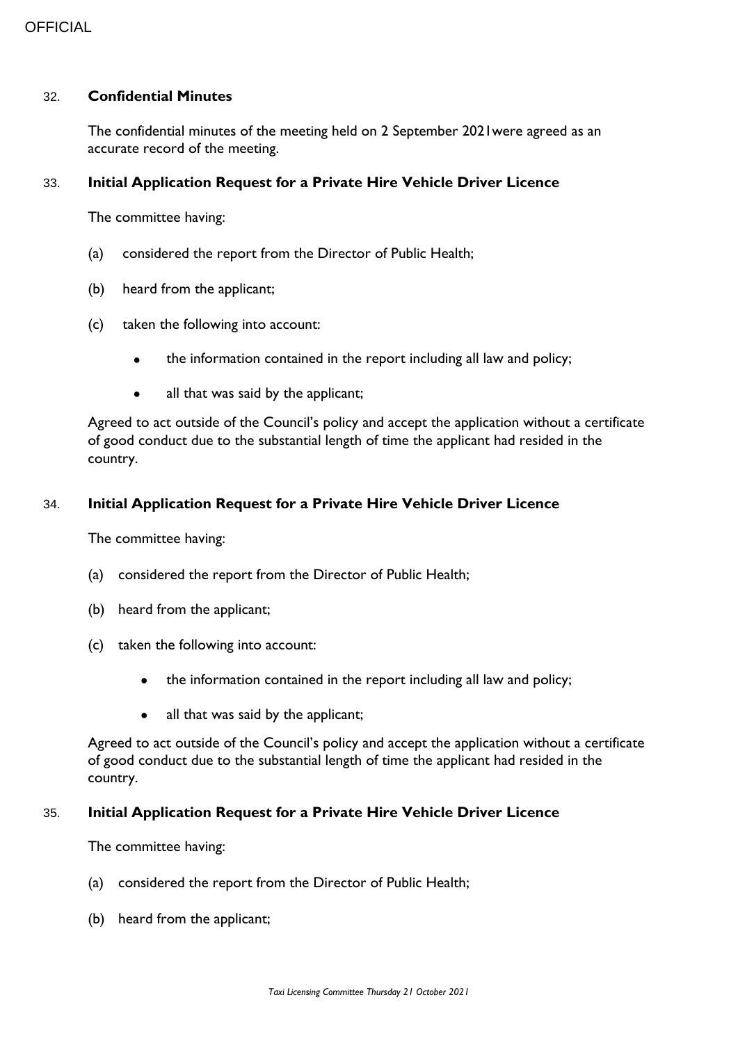#### 32. **Confidential Minutes**

The confidential minutes of the meeting held on 2 September 2021were agreed as an accurate record of the meeting.

#### 33. **Initial Application Request for a Private Hire Vehicle Driver Licence**

The committee having:

- (a) considered the report from the Director of Public Health;
- (b) heard from the applicant;
- (c) taken the following into account:
	- the information contained in the report including all law and policy;
	- all that was said by the applicant;

Agreed to act outside of the Council's policy and accept the application without a certificate of good conduct due to the substantial length of time the applicant had resided in the country.

#### 34. **Initial Application Request for a Private Hire Vehicle Driver Licence**

The committee having:

- (a) considered the report from the Director of Public Health;
- (b) heard from the applicant;
- (c) taken the following into account:
	- the information contained in the report including all law and policy;
	- all that was said by the applicant;

Agreed to act outside of the Council's policy and accept the application without a certificate of good conduct due to the substantial length of time the applicant had resided in the country.

#### 35. **Initial Application Request for a Private Hire Vehicle Driver Licence**

The committee having:

- (a) considered the report from the Director of Public Health;
- (b) heard from the applicant;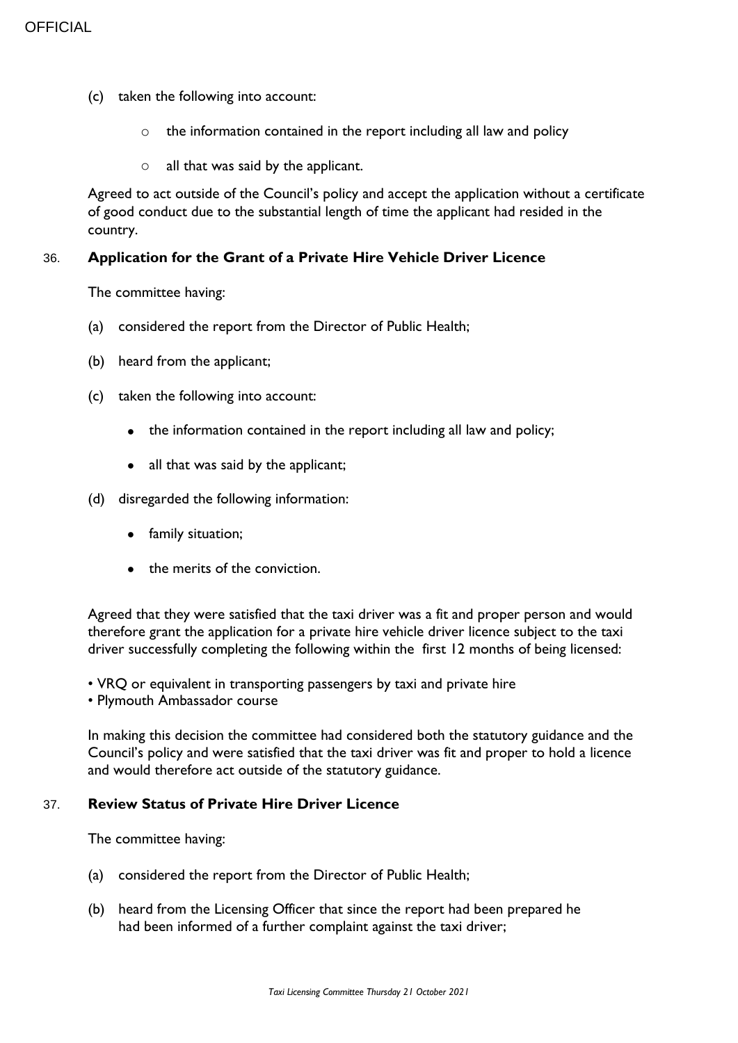- (c) taken the following into account:
	- o the information contained in the report including all law and policy
	- $\circ$  all that was said by the applicant.

Agreed to act outside of the Council's policy and accept the application without a certificate of good conduct due to the substantial length of time the applicant had resided in the country.

#### 36. **Application for the Grant of a Private Hire Vehicle Driver Licence**

The committee having:

- (a) considered the report from the Director of Public Health;
- (b) heard from the applicant;
- (c) taken the following into account:
	- the information contained in the report including all law and policy;
	- all that was said by the applicant;
- (d) disregarded the following information:
	- family situation;
	- the merits of the conviction.

Agreed that they were satisfied that the taxi driver was a fit and proper person and would therefore grant the application for a private hire vehicle driver licence subject to the taxi driver successfully completing the following within the first 12 months of being licensed:

- VRQ or equivalent in transporting passengers by taxi and private hire
- Plymouth Ambassador course

In making this decision the committee had considered both the statutory guidance and the Council's policy and were satisfied that the taxi driver was fit and proper to hold a licence and would therefore act outside of the statutory guidance.

#### 37. **Review Status of Private Hire Driver Licence**

The committee having:

- (a) considered the report from the Director of Public Health;
- (b) heard from the Licensing Officer that since the report had been prepared he had been informed of a further complaint against the taxi driver;